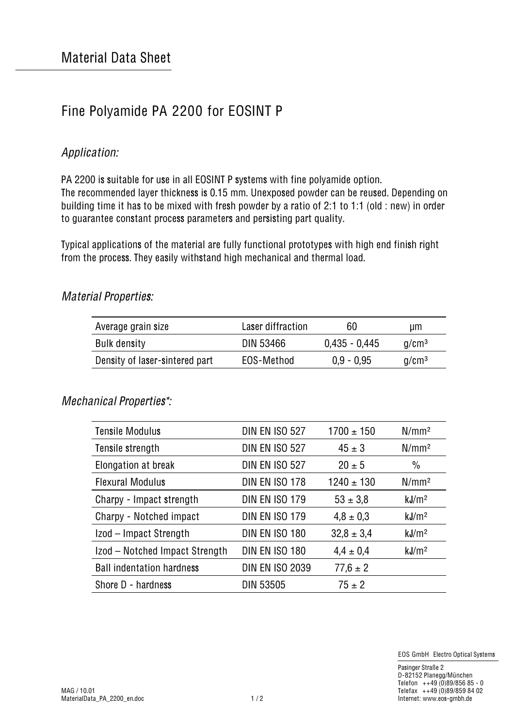# Fine Polyamide PA 2200 for EOSINT P

# Application:

PA 2200 is suitable for use in all EOSINT P systems with fine polyamide option. The recommended layer thickness is 0.15 mm. Unexposed powder can be reused. Depending on building time it has to be mixed with fresh powder by a ratio of 2:1 to 1:1 (old : new) in order to guarantee constant process parameters and persisting part quality.

Typical applications of the material are fully functional prototypes with high end finish right from the process. They easily withstand high mechanical and thermal load.

| Average grain size             | Laser diffraction | 60              | um                |
|--------------------------------|-------------------|-----------------|-------------------|
| Bulk density                   | DIN 53466         | $0.435 - 0.445$ | q/cm <sup>3</sup> |
| Density of laser-sintered part | EOS-Method        | $0.9 - 0.95$    | q/cm <sup>3</sup> |

#### Material Properties:

## Mechanical Properties\*:

| <b>Tensile Modulus</b>           | <b>DIN EN ISO 527</b>  | $1700 \pm 150$ | N/mm <sup>2</sup> |
|----------------------------------|------------------------|----------------|-------------------|
| Tensile strength                 | <b>DIN EN ISO 527</b>  | $45 \pm 3$     | N/mm <sup>2</sup> |
| Elongation at break              | <b>DIN EN ISO 527</b>  | $20 \pm 5$     | $\frac{0}{0}$     |
| <b>Flexural Modulus</b>          | DIN EN ISO 178         | $1240 \pm 130$ | N/mm <sup>2</sup> |
| Charpy - Impact strength         | <b>DIN EN ISO 179</b>  | $53 \pm 3.8$   | kJ/m <sup>2</sup> |
| Charpy - Notched impact          | <b>DIN EN ISO 179</b>  | $4,8 \pm 0,3$  | kJ/m <sup>2</sup> |
| Izod - Impact Strength           | DIN EN ISO 180         | $32.8 \pm 3.4$ | kJ/m <sup>2</sup> |
| Izod - Notched Impact Strength   | DIN EN ISO 180         | $4.4 \pm 0.4$  | kJ/m <sup>2</sup> |
| <b>Ball indentation hardness</b> | <b>DIN EN ISO 2039</b> | $77.6 \pm 2$   |                   |
| Shore D - hardness               | <b>DIN 53505</b>       | $75 \pm 2$     |                   |